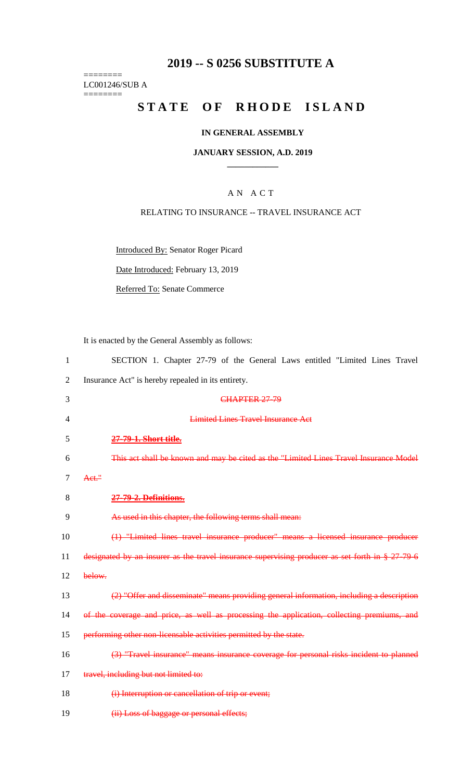# **2019 -- S 0256 SUBSTITUTE A**

======== LC001246/SUB A ========

# **STATE OF RHODE ISLAND**

# **IN GENERAL ASSEMBLY**

#### **JANUARY SESSION, A.D. 2019 \_\_\_\_\_\_\_\_\_\_\_\_**

# A N A C T

# RELATING TO INSURANCE -- TRAVEL INSURANCE ACT

Introduced By: Senator Roger Picard

Date Introduced: February 13, 2019

Referred To: Senate Commerce

It is enacted by the General Assembly as follows:

| $\mathbf{1}$ | SECTION 1. Chapter 27-79 of the General Laws entitled "Limited Lines Travel"                      |
|--------------|---------------------------------------------------------------------------------------------------|
| 2            | Insurance Act" is hereby repealed in its entirety.                                                |
| 3            | <b>CHAPTER 27-79</b>                                                                              |
| 4            | <b>Limited Lines Travel Insurance Act</b>                                                         |
| 5            | 27-79-1. Short title.                                                                             |
| 6            | This act shall be known and may be cited as the "Limited Lines Travel Insurance Model             |
| 7            | Act."                                                                                             |
| 8            | 27-79-2. Definitions.                                                                             |
| 9            | As used in this chapter, the following terms shall mean:                                          |
| 10           | (1) "Limited lines travel insurance producer" means a licensed insurance producer                 |
| 11           | designated by an insurer as the travel insurance supervising producer as set forth in $\S 27.796$ |
| 12           | below.                                                                                            |
| 13           | (2) "Offer and disseminate" means providing general information, including a description          |
| 14           | of the coverage and price, as well as processing the application, collecting premiums, and        |
| 15           | performing other non-licensable activities permitted by the state.                                |
| 16           | (3) "Travel insurance" means insurance coverage for personal risks incident to planned            |
| 17           | travel, including but not limited to:                                                             |
| 18           | (i) Interruption or cancellation of trip or event;                                                |
|              |                                                                                                   |

19 **(ii) Loss of baggage or personal effects;**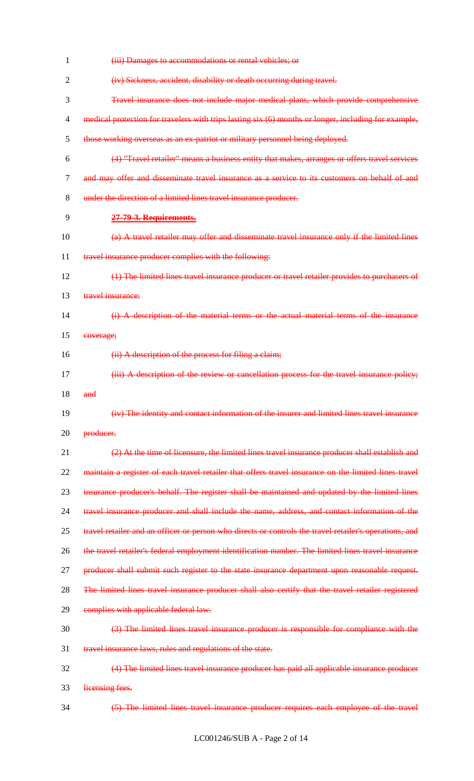| 1  | (iii) Damages to accommodations or rental vehicles; or                                                 |
|----|--------------------------------------------------------------------------------------------------------|
| 2  | (iv) Sickness, accident, disability or death occurring during travel.                                  |
| 3  | Travel insurance does not include major medical plans, which provide comprehensive                     |
| 4  | medical protection for travelers with trips lasting six (6) months or longer, including for example,   |
| 5  | those working overseas as an ex-patriot or military personnel being deployed.                          |
| 6  | (4) "Travel retailer" means a business entity that makes, arranges or offers travel services           |
| 7  | and may offer and disseminate travel insurance as a service to its customers on behalf of and          |
| 8  | under the direction of a limited lines travel insurance producer.                                      |
| 9  | 27-79-3. Requirements.                                                                                 |
| 10 | (a) A travel retailer may offer and disseminate travel insurance only if the limited lines             |
| 11 | travel insurance producer complies with the following:                                                 |
| 12 | (1) The limited lines travel insurance producer or travel retailer provides to purchasers of           |
| 13 | travel insurance:                                                                                      |
| 14 | (i) A description of the material terms or the actual material terms of the insurance                  |
| 15 | eoverage;                                                                                              |
| 16 | (ii) A description of the process for filing a claim;                                                  |
| 17 | (iii) A description of the review or cancellation process for the travel insurance policy;             |
| 18 | and                                                                                                    |
| 19 | (iv) The identity and contact information of the insurer and limited lines travel insurance            |
| 20 | producer.                                                                                              |
| 21 | (2) At the time of licensure, the limited lines travel insurance producer shall establish and          |
| 22 | maintain a register of each travel retailer that offers travel insurance on the limited lines travel   |
| 23 | insurance producer's behalf. The register shall be maintained and updated by the limited lines         |
| 24 | travel insurance producer and shall include the name, address, and contact information of the          |
| 25 | travel retailer and an officer or person who directs or controls the travel retailer's operations, and |
| 26 | the travel retailer's federal employment identification number. The limited lines travel insurance     |
| 27 | producer shall submit such register to the state insurance department upon reasonable request.         |
| 28 | The limited lines travel insurance producer shall also certify that the travel retailer registered     |
| 29 | complies with applicable federal law.                                                                  |
| 30 | (3) The limited lines travel insurance producer is responsible for compliance with the                 |
| 31 | travel insurance laws, rules and regulations of the state.                                             |
| 32 | (4) The limited lines travel insurance producer has paid all applicable insurance producer             |
| 33 | licensing fees.                                                                                        |
| 34 | (5) The limited lines travel insurance producer requires each employee of the travel                   |
|    |                                                                                                        |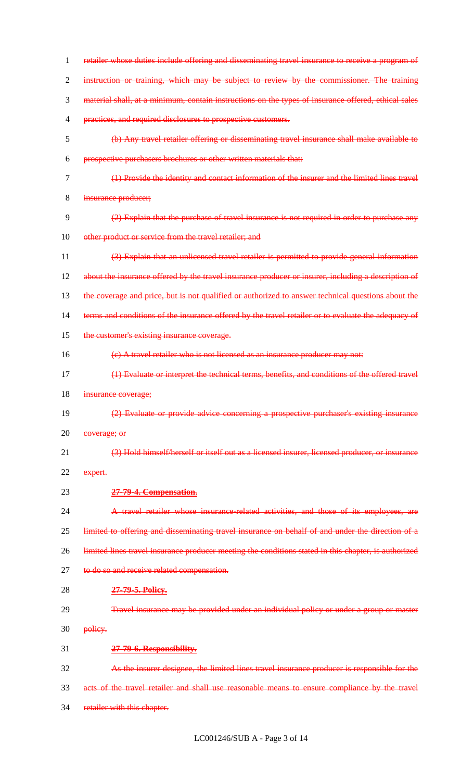| 1              | retailer whose duties include offering and disseminating travel insurance to receive a program of    |
|----------------|------------------------------------------------------------------------------------------------------|
| $\overline{2}$ | instruction or training, which may be subject to review by the commissioner. The training            |
| 3              | material shall, at a minimum, contain instructions on the types of insurance offered, ethical sales  |
| $\overline{4}$ | practices, and required disclosures to prospective customers.                                        |
| 5              | (b) Any travel retailer offering or disseminating travel insurance shall make available to           |
| 6              | prospective purchasers brochures or other written materials that:                                    |
| 7              | (1) Provide the identity and contact information of the insurer and the limited lines travel         |
| 8              | insurance producer;                                                                                  |
| 9              | (2) Explain that the purchase of travel insurance is not required in order to purchase any           |
| 10             | other product or service from the travel retailer; and                                               |
| 11             | (3) Explain that an unlicensed travel retailer is permitted to provide general information           |
| 12             | about the insurance offered by the travel insurance producer or insurer, including a description of  |
| 13             | the coverage and price, but is not qualified or authorized to answer technical questions about the   |
| 14             | terms and conditions of the insurance offered by the travel retailer or to evaluate the adequacy of  |
| 15             | the customer's existing insurance coverage.                                                          |
| 16             | (e) A travel retailer who is not licensed as an insurance producer may not:                          |
| 17             | (1) Evaluate or interpret the technical terms, benefits, and conditions of the offered travel        |
| 18             | insurance coverage;                                                                                  |
| 19             | (2) Evaluate or provide advice concerning a prospective purchaser's existing insurance               |
| 20             | coverage; or                                                                                         |
| 21             | (3) Hold himself/herself or itself out as a licensed insurer, licensed producer, or insurance        |
| 22             | expert.                                                                                              |
| 23             | 27-79-4. Compensation.                                                                               |
| 24             | A travel retailer whose insurance-related activities, and those of its employees, are                |
| 25             | limited to offering and disseminating travel insurance on behalf of and under the direction of a     |
| 26             | limited lines travel insurance producer meeting the conditions stated in this chapter, is authorized |
| 27             | to do so and receive related compensation.                                                           |
| 28             | 27-79-5. Policy.                                                                                     |
| 29             | Travel insurance may be provided under an individual policy or under a group or master               |
| 30             | policy.                                                                                              |
| 31             | 27-79-6. Responsibility.                                                                             |
| 32             | As the insurer designee, the limited lines travel insurance producer is responsible for the          |
| 33             | acts of the travel retailer and shall use reasonable means to ensure compliance by the travel        |
|                |                                                                                                      |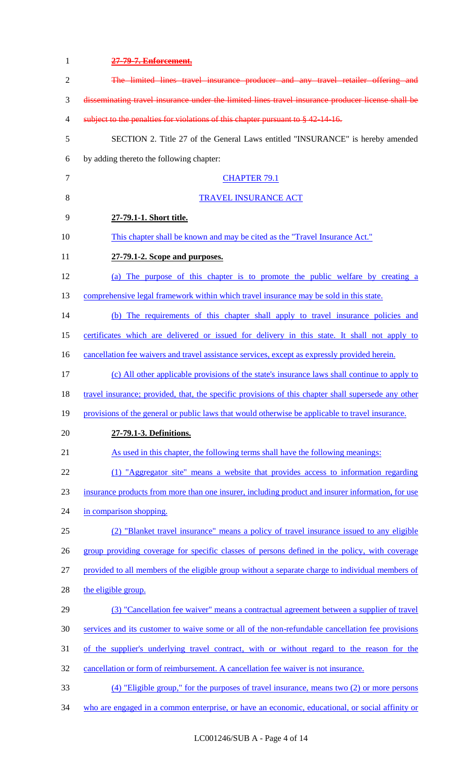| $\mathbf{1}$   | 27-79-7. Enforcement.                                                                               |
|----------------|-----------------------------------------------------------------------------------------------------|
| $\overline{2}$ | The limited lines travel insurance producer and any travel retailer offering and                    |
| 3              | disseminating travel insurance under the limited lines travel insurance producer license shall be   |
| 4              | subject to the penalties for violations of this chapter pursuant to § 42-14-16.                     |
| 5              | SECTION 2. Title 27 of the General Laws entitled "INSURANCE" is hereby amended                      |
| 6              | by adding thereto the following chapter:                                                            |
| $\tau$         | <b>CHAPTER 79.1</b>                                                                                 |
| 8              | <b>TRAVEL INSURANCE ACT</b>                                                                         |
| 9              | 27-79.1-1. Short title.                                                                             |
| 10             | This chapter shall be known and may be cited as the "Travel Insurance Act."                         |
| 11             | 27-79.1-2. Scope and purposes.                                                                      |
| 12             | (a) The purpose of this chapter is to promote the public welfare by creating a                      |
| 13             | comprehensive legal framework within which travel insurance may be sold in this state.              |
| 14             | (b) The requirements of this chapter shall apply to travel insurance policies and                   |
| 15             | certificates which are delivered or issued for delivery in this state. It shall not apply to        |
| 16             | cancellation fee waivers and travel assistance services, except as expressly provided herein.       |
| 17             | (c) All other applicable provisions of the state's insurance laws shall continue to apply to        |
| 18             | travel insurance; provided, that, the specific provisions of this chapter shall supersede any other |
| 19             | provisions of the general or public laws that would otherwise be applicable to travel insurance.    |
| 20             | 27-79.1-3. Definitions.                                                                             |
| 21             | As used in this chapter, the following terms shall have the following meanings:                     |
| 22             | (1) "Aggregator site" means a website that provides access to information regarding                 |
| 23             | insurance products from more than one insurer, including product and insurer information, for use   |
| 24             | in comparison shopping.                                                                             |
| 25             | (2) "Blanket travel insurance" means a policy of travel insurance issued to any eligible            |
| 26             | group providing coverage for specific classes of persons defined in the policy, with coverage       |
| 27             | provided to all members of the eligible group without a separate charge to individual members of    |
| 28             | the eligible group.                                                                                 |
| 29             | (3) "Cancellation fee waiver" means a contractual agreement between a supplier of travel            |
| 30             | services and its customer to waive some or all of the non-refundable cancellation fee provisions    |
| 31             | of the supplier's underlying travel contract, with or without regard to the reason for the          |
| 32             | cancellation or form of reimbursement. A cancellation fee waiver is not insurance.                  |
| 33             | $(4)$ "Eligible group," for the purposes of travel insurance, means two $(2)$ or more persons       |
| 34             | who are engaged in a common enterprise, or have an economic, educational, or social affinity or     |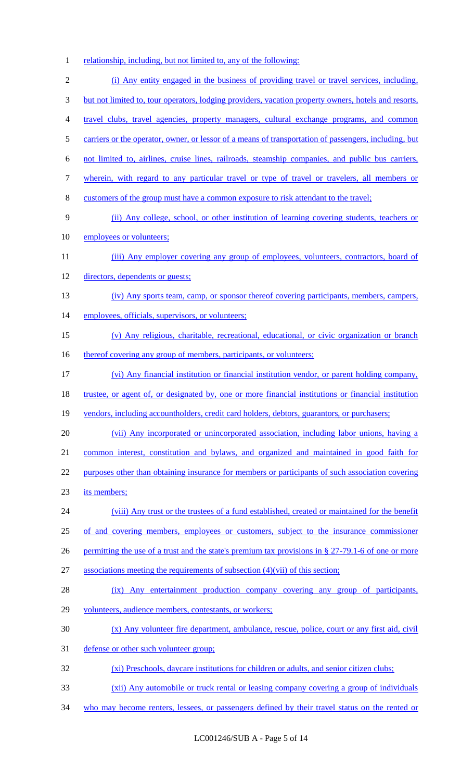relationship, including, but not limited to, any of the following:

 (i) Any entity engaged in the business of providing travel or travel services, including, but not limited to, tour operators, lodging providers, vacation property owners, hotels and resorts, 4 travel clubs, travel agencies, property managers, cultural exchange programs, and common carriers or the operator, owner, or lessor of a means of transportation of passengers, including, but not limited to, airlines, cruise lines, railroads, steamship companies, and public bus carriers, wherein, with regard to any particular travel or type of travel or travelers, all members or customers of the group must have a common exposure to risk attendant to the travel; (ii) Any college, school, or other institution of learning covering students, teachers or employees or volunteers; 11 (iii) Any employer covering any group of employees, volunteers, contractors, board of directors, dependents or guests; (iv) Any sports team, camp, or sponsor thereof covering participants, members, campers, 14 employees, officials, supervisors, or volunteers; (v) Any religious, charitable, recreational, educational, or civic organization or branch 16 thereof covering any group of members, participants, or volunteers; (vi) Any financial institution or financial institution vendor, or parent holding company, trustee, or agent of, or designated by, one or more financial institutions or financial institution 19 vendors, including accountholders, credit card holders, debtors, guarantors, or purchasers; (vii) Any incorporated or unincorporated association, including labor unions, having a common interest, constitution and bylaws, and organized and maintained in good faith for 22 purposes other than obtaining insurance for members or participants of such association covering its members; (viii) Any trust or the trustees of a fund established, created or maintained for the benefit of and covering members, employees or customers, subject to the insurance commissioner 26 permitting the use of a trust and the state's premium tax provisions in § 27-79.1-6 of one or more associations meeting the requirements of subsection (4)(vii) of this section; (ix) Any entertainment production company covering any group of participants, volunteers, audience members, contestants, or workers; (x) Any volunteer fire department, ambulance, rescue, police, court or any first aid, civil defense or other such volunteer group; (xi) Preschools, daycare institutions for children or adults, and senior citizen clubs; (xii) Any automobile or truck rental or leasing company covering a group of individuals 34 who may become renters, lessees, or passengers defined by their travel status on the rented or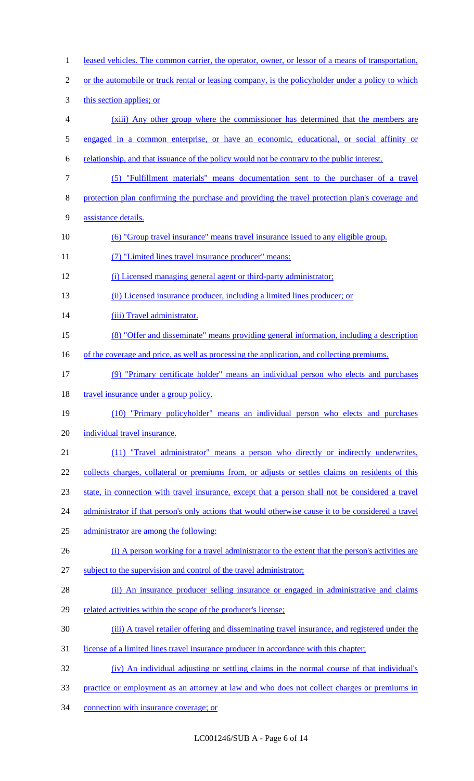| $\mathbf{1}$   | leased vehicles. The common carrier, the operator, owner, or lessor of a means of transportation,   |
|----------------|-----------------------------------------------------------------------------------------------------|
| $\overline{2}$ | or the automobile or truck rental or leasing company, is the policyholder under a policy to which   |
| 3              | this section applies; or                                                                            |
| 4              | (xiii) Any other group where the commissioner has determined that the members are                   |
| 5              | engaged in a common enterprise, or have an economic, educational, or social affinity or             |
| 6              | relationship, and that issuance of the policy would not be contrary to the public interest.         |
| $\tau$         | (5) "Fulfillment materials" means documentation sent to the purchaser of a travel                   |
| 8              | protection plan confirming the purchase and providing the travel protection plan's coverage and     |
| 9              | assistance details.                                                                                 |
| 10             | (6) "Group travel insurance" means travel insurance issued to any eligible group.                   |
| 11             | (7) "Limited lines travel insurance producer" means:                                                |
| 12             | (i) Licensed managing general agent or third-party administrator;                                   |
| 13             | (ii) Licensed insurance producer, including a limited lines producer; or                            |
| 14             | (iii) Travel administrator.                                                                         |
| 15             | (8) "Offer and disseminate" means providing general information, including a description            |
| 16             | of the coverage and price, as well as processing the application, and collecting premiums.          |
| 17             | (9) "Primary certificate holder" means an individual person who elects and purchases                |
| 18             | travel insurance under a group policy.                                                              |
| 19             | (10) "Primary policyholder" means an individual person who elects and purchases                     |
| 20             | individual travel insurance.                                                                        |
| 21             | (11) "Travel administrator" means a person who directly or indirectly underwrites,                  |
| 22             | collects charges, collateral or premiums from, or adjusts or settles claims on residents of this    |
| 23             | state, in connection with travel insurance, except that a person shall not be considered a travel   |
| 24             | administrator if that person's only actions that would otherwise cause it to be considered a travel |
| 25             | administrator are among the following:                                                              |
| 26             | (i) A person working for a travel administrator to the extent that the person's activities are      |
| 27             | subject to the supervision and control of the travel administrator;                                 |
| 28             | (ii) An insurance producer selling insurance or engaged in administrative and claims                |
| 29             | related activities within the scope of the producer's license;                                      |
| 30             | (iii) A travel retailer offering and disseminating travel insurance, and registered under the       |
| 31             | license of a limited lines travel insurance producer in accordance with this chapter;               |
| 32             | (iv) An individual adjusting or settling claims in the normal course of that individual's           |
| 33             | practice or employment as an attorney at law and who does not collect charges or premiums in        |
| 34             | connection with insurance coverage; or                                                              |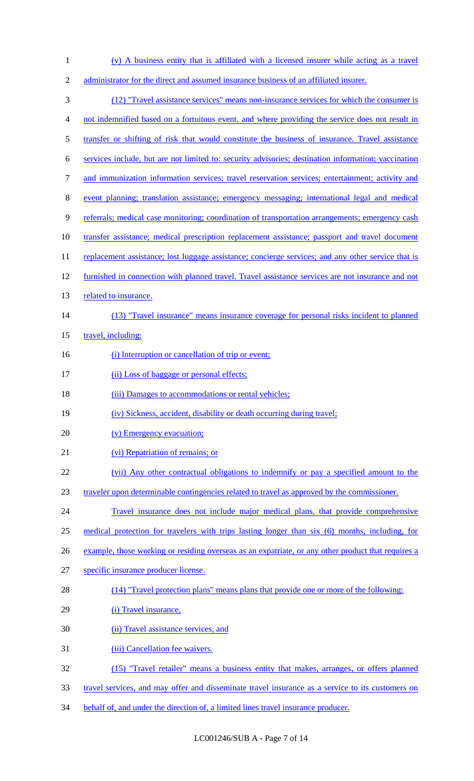- (v) A business entity that is affiliated with a licensed insurer while acting as a travel administrator for the direct and assumed insurance business of an affiliated insurer. (12) "Travel assistance services" means non-insurance services for which the consumer is not indemnified based on a fortuitous event, and where providing the service does not result in transfer or shifting of risk that would constitute the business of insurance. Travel assistance services include, but are not limited to: security advisories; destination information; vaccination and immunization information services; travel reservation services; entertainment; activity and event planning; translation assistance; emergency messaging; international legal and medical referrals; medical case monitoring; coordination of transportation arrangements; emergency cash transfer assistance; medical prescription replacement assistance; passport and travel document 11 replacement assistance; lost luggage assistance; concierge services; and any other service that is 12 furnished in connection with planned travel. Travel assistance services are not insurance and not 13 related to insurance. (13) "Travel insurance" means insurance coverage for personal risks incident to planned 15 travel, including: 16 (i) Interruption or cancellation of trip or event; 17 (ii) Loss of baggage or personal effects; 18 (iii) Damages to accommodations or rental vehicles; (iv) Sickness, accident, disability or death occurring during travel; 20 (v) Emergency evacuation; (vi) Repatriation of remains; or (vii) Any other contractual obligations to indemnify or pay a specified amount to the traveler upon determinable contingencies related to travel as approved by the commissioner. Travel insurance does not include major medical plans, that provide comprehensive medical protection for travelers with trips lasting longer than six (6) months, including, for 26 example, those working or residing overseas as an expatriate, or any other product that requires a specific insurance producer license. (14) "Travel protection plans" means plans that provide one or more of the following: 29 (i) Travel insurance, (ii) Travel assistance services, and 31 (iii) Cancellation fee waivers. (15) "Travel retailer" means a business entity that makes, arranges, or offers planned travel services, and may offer and disseminate travel insurance as a service to its customers on
- 34 behalf of, and under the direction of, a limited lines travel insurance producer.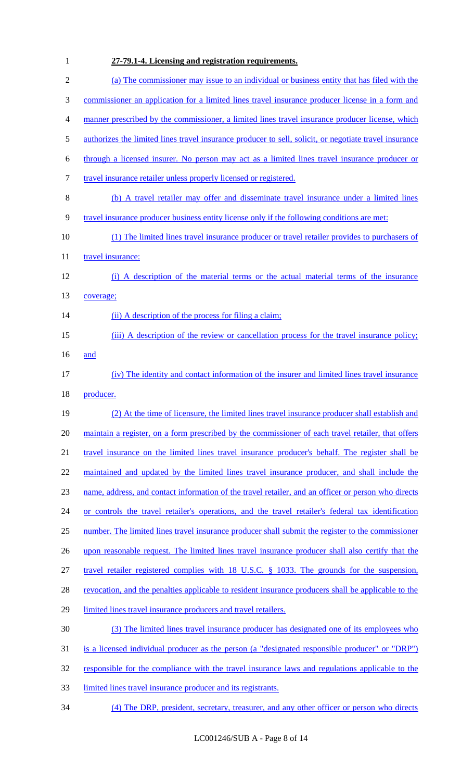| $\mathbf{1}$     | 27-79.1-4. Licensing and registration requirements.                                                    |
|------------------|--------------------------------------------------------------------------------------------------------|
| $\mathbf{2}$     | (a) The commissioner may issue to an individual or business entity that has filed with the             |
| $\mathfrak{Z}$   | commissioner an application for a limited lines travel insurance producer license in a form and        |
| $\overline{4}$   | manner prescribed by the commissioner, a limited lines travel insurance producer license, which        |
| 5                | authorizes the limited lines travel insurance producer to sell, solicit, or negotiate travel insurance |
| 6                | through a licensed insurer. No person may act as a limited lines travel insurance producer or          |
| $\boldsymbol{7}$ | travel insurance retailer unless properly licensed or registered.                                      |
| $8\,$            | (b) A travel retailer may offer and disseminate travel insurance under a limited lines                 |
| 9                | travel insurance producer business entity license only if the following conditions are met:            |
| 10               | (1) The limited lines travel insurance producer or travel retailer provides to purchasers of           |
| 11               | travel insurance:                                                                                      |
| 12               | (i) A description of the material terms or the actual material terms of the insurance                  |
| 13               | coverage;                                                                                              |
| 14               | (ii) A description of the process for filing a claim;                                                  |
| 15               | (iii) A description of the review or cancellation process for the travel insurance policy;             |
| 16               | and                                                                                                    |
| 17               | (iv) The identity and contact information of the insurer and limited lines travel insurance            |
| 18               | producer.                                                                                              |
| 19               | (2) At the time of licensure, the limited lines travel insurance producer shall establish and          |
| 20               | maintain a register, on a form prescribed by the commissioner of each travel retailer, that offers     |
| 21               | travel insurance on the limited lines travel insurance producer's behalf. The register shall be        |
| 22               | maintained and updated by the limited lines travel insurance producer, and shall include the           |
| 23               | name, address, and contact information of the travel retailer, and an officer or person who directs    |
| 24               | or controls the travel retailer's operations, and the travel retailer's federal tax identification     |
| 25               | number. The limited lines travel insurance producer shall submit the register to the commissioner      |
| 26               | upon reasonable request. The limited lines travel insurance producer shall also certify that the       |
| 27               | travel retailer registered complies with 18 U.S.C. § 1033. The grounds for the suspension,             |
| 28               | revocation, and the penalties applicable to resident insurance producers shall be applicable to the    |
| 29               | limited lines travel insurance producers and travel retailers.                                         |
| 30               | (3) The limited lines travel insurance producer has designated one of its employees who                |
| 31               | is a licensed individual producer as the person (a "designated responsible producer" or "DRP")         |
| 32               | responsible for the compliance with the travel insurance laws and regulations applicable to the        |
| 33               | limited lines travel insurance producer and its registrants.                                           |
| 34               | (4) The DRP, president, secretary, treasurer, and any other officer or person who directs              |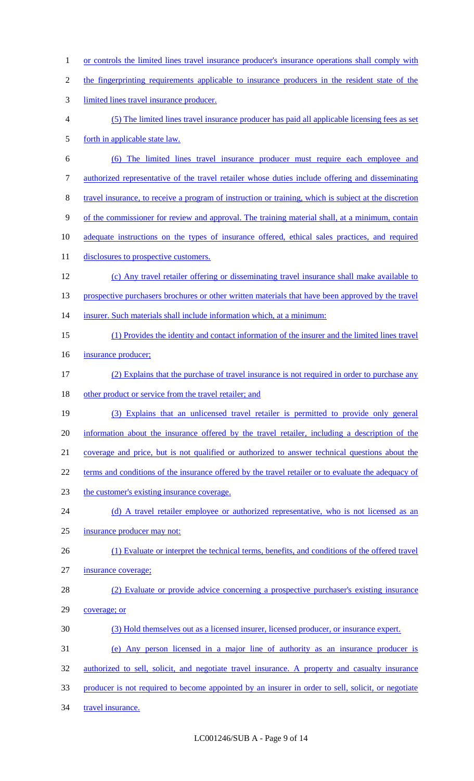- 1 or controls the limited lines travel insurance producer's insurance operations shall comply with
- the fingerprinting requirements applicable to insurance producers in the resident state of the
- limited lines travel insurance producer.
- (5) The limited lines travel insurance producer has paid all applicable licensing fees as set forth in applicable state law.
- (6) The limited lines travel insurance producer must require each employee and authorized representative of the travel retailer whose duties include offering and disseminating travel insurance, to receive a program of instruction or training, which is subject at the discretion
- of the commissioner for review and approval. The training material shall, at a minimum, contain
- adequate instructions on the types of insurance offered, ethical sales practices, and required
- 11 disclosures to prospective customers.
- (c) Any travel retailer offering or disseminating travel insurance shall make available to 13 prospective purchasers brochures or other written materials that have been approved by the travel 14 insurer. Such materials shall include information which, at a minimum:
- (1) Provides the identity and contact information of the insurer and the limited lines travel
- 16 insurance producer;
- (2) Explains that the purchase of travel insurance is not required in order to purchase any 18 other product or service from the travel retailer; and
- (3) Explains that an unlicensed travel retailer is permitted to provide only general information about the insurance offered by the travel retailer, including a description of the coverage and price, but is not qualified or authorized to answer technical questions about the
- 22 terms and conditions of the insurance offered by the travel retailer or to evaluate the adequacy of
- the customer's existing insurance coverage.
- 24 (d) A travel retailer employee or authorized representative, who is not licensed as an
- insurance producer may not:
- (1) Evaluate or interpret the technical terms, benefits, and conditions of the offered travel insurance coverage;
- (2) Evaluate or provide advice concerning a prospective purchaser's existing insurance coverage; or
- (3) Hold themselves out as a licensed insurer, licensed producer, or insurance expert.
- (e) Any person licensed in a major line of authority as an insurance producer is
- authorized to sell, solicit, and negotiate travel insurance. A property and casualty insurance
- producer is not required to become appointed by an insurer in order to sell, solicit, or negotiate
- 34 travel insurance.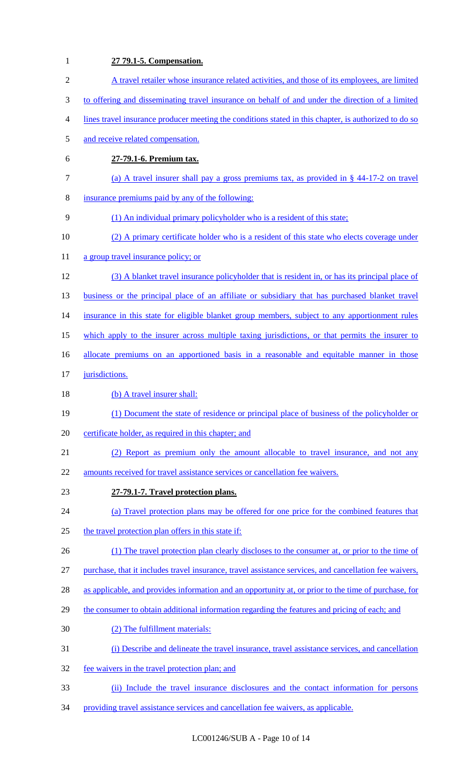| $\mathbf{1}$   | 27 79.1-5. Compensation.                                                                               |
|----------------|--------------------------------------------------------------------------------------------------------|
| $\overline{2}$ | A travel retailer whose insurance related activities, and those of its employees, are limited          |
| 3              | to offering and disseminating travel insurance on behalf of and under the direction of a limited       |
| 4              | lines travel insurance producer meeting the conditions stated in this chapter, is authorized to do so  |
| 5              | and receive related compensation.                                                                      |
| 6              | 27-79.1-6. Premium tax.                                                                                |
| $\tau$         | (a) A travel insurer shall pay a gross premiums tax, as provided in $\S$ 44-17-2 on travel             |
| $8\,$          | insurance premiums paid by any of the following:                                                       |
| 9              | (1) An individual primary policyholder who is a resident of this state;                                |
| 10             | (2) A primary certificate holder who is a resident of this state who elects coverage under             |
| 11             | a group travel insurance policy; or                                                                    |
| 12             | (3) A blanket travel insurance policyholder that is resident in, or has its principal place of         |
| 13             | business or the principal place of an affiliate or subsidiary that has purchased blanket travel        |
| 14             | insurance in this state for eligible blanket group members, subject to any apportionment rules         |
| 15             | which apply to the insurer across multiple taxing jurisdictions, or that permits the insurer to        |
| 16             | allocate premiums on an apportioned basis in a reasonable and equitable manner in those                |
| 17             | jurisdictions.                                                                                         |
| 18             | (b) A travel insurer shall:                                                                            |
| 19             | (1) Document the state of residence or principal place of business of the policyholder or              |
| 20             | certificate holder, as required in this chapter; and                                                   |
| 21             | (2) Report as premium only the amount allocable to travel insurance, and not any                       |
| 22             | amounts received for travel assistance services or cancellation fee waivers.                           |
| 23             | 27-79.1-7. Travel protection plans.                                                                    |
| 24             | (a) Travel protection plans may be offered for one price for the combined features that                |
| 25             | the travel protection plan offers in this state if:                                                    |
| 26             | (1) The travel protection plan clearly discloses to the consumer at, or prior to the time of           |
| 27             | purchase, that it includes travel insurance, travel assistance services, and cancellation fee waivers, |
| 28             | as applicable, and provides information and an opportunity at, or prior to the time of purchase, for   |
| 29             | the consumer to obtain additional information regarding the features and pricing of each; and          |
| 30             | (2) The fulfillment materials:                                                                         |
| 31             | (i) Describe and delineate the travel insurance, travel assistance services, and cancellation          |
| 32             | fee waivers in the travel protection plan; and                                                         |
| 33             | (ii) Include the travel insurance disclosures and the contact information for persons                  |
| 34             | providing travel assistance services and cancellation fee waivers, as applicable.                      |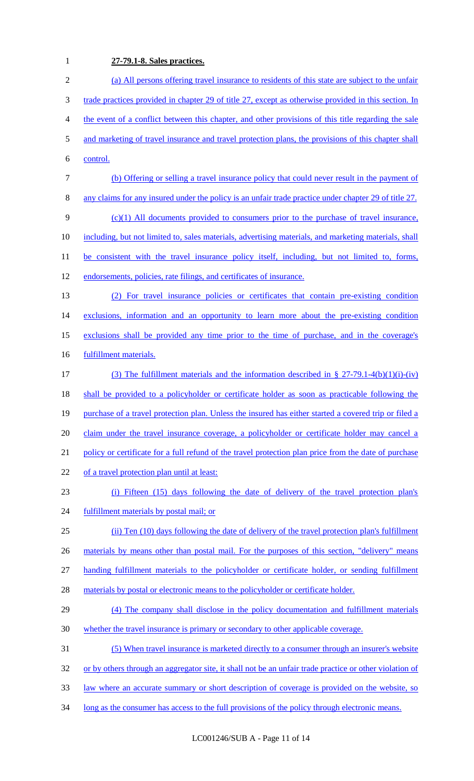# **27-79.1-8. Sales practices.**

| $\overline{2}$ | (a) All persons offering travel insurance to residents of this state are subject to the unfair          |
|----------------|---------------------------------------------------------------------------------------------------------|
| 3              | trade practices provided in chapter 29 of title 27, except as otherwise provided in this section. In    |
| 4              | the event of a conflict between this chapter, and other provisions of this title regarding the sale     |
| 5              | and marketing of travel insurance and travel protection plans, the provisions of this chapter shall     |
| 6              | control.                                                                                                |
| 7              | (b) Offering or selling a travel insurance policy that could never result in the payment of             |
| 8              | any claims for any insured under the policy is an unfair trade practice under chapter 29 of title 27.   |
| 9              | $(c)(1)$ All documents provided to consumers prior to the purchase of travel insurance,                 |
| 10             | including, but not limited to, sales materials, advertising materials, and marketing materials, shall   |
| 11             | be consistent with the travel insurance policy itself, including, but not limited to, forms,            |
| 12             | endorsements, policies, rate filings, and certificates of insurance.                                    |
| 13             | For travel insurance policies or certificates that contain pre-existing condition                       |
| 14             | exclusions, information and an opportunity to learn more about the pre-existing condition               |
| 15             | exclusions shall be provided any time prior to the time of purchase, and in the coverage's              |
| 16             | fulfillment materials.                                                                                  |
| 17             | (3) The fulfillment materials and the information described in $\S 27-79.1-4(b)(1)(i)-(iv)$             |
| 18             | shall be provided to a policyholder or certificate holder as soon as practicable following the          |
| 19             | purchase of a travel protection plan. Unless the insured has either started a covered trip or filed a   |
| 20             | claim under the travel insurance coverage, a policyholder or certificate holder may cancel a            |
| 21             | policy or certificate for a full refund of the travel protection plan price from the date of purchase   |
| 22             | of a travel protection plan until at least:                                                             |
| 23             | (i) Fifteen (15) days following the date of delivery of the travel protection plan's                    |
| 24             | fulfillment materials by postal mail; or                                                                |
| 25             | (ii) Ten (10) days following the date of delivery of the travel protection plan's fulfillment           |
| 26             | materials by means other than postal mail. For the purposes of this section, "delivery" means           |
| 27             | handing fulfillment materials to the policyholder or certificate holder, or sending fulfillment         |
| 28             | materials by postal or electronic means to the policyholder or certificate holder.                      |
| 29             | (4) The company shall disclose in the policy documentation and fulfillment materials                    |
| 30             | whether the travel insurance is primary or secondary to other applicable coverage.                      |
| 31             | (5) When travel insurance is marketed directly to a consumer through an insurer's website               |
| 32             | or by others through an aggregator site, it shall not be an unfair trade practice or other violation of |
| 33             | law where an accurate summary or short description of coverage is provided on the website, so           |
| 34             | long as the consumer has access to the full provisions of the policy through electronic means.          |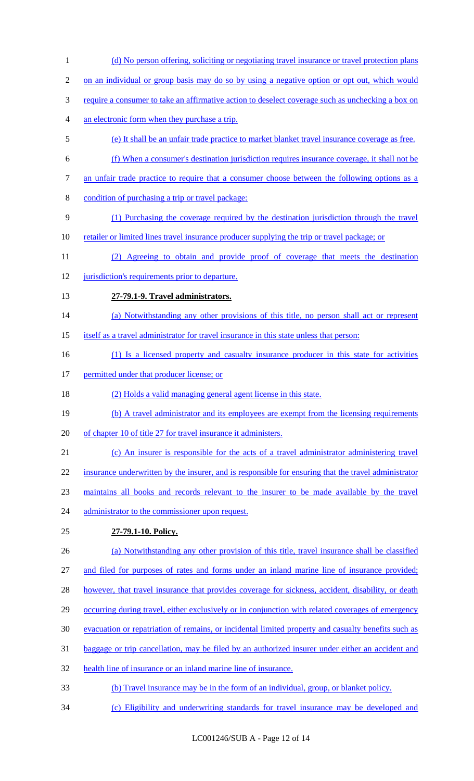(d) No person offering, soliciting or negotiating travel insurance or travel protection plans 2 on an individual or group basis may do so by using a negative option or opt out, which would require a consumer to take an affirmative action to deselect coverage such as unchecking a box on an electronic form when they purchase a trip. (e) It shall be an unfair trade practice to market blanket travel insurance coverage as free. (f) When a consumer's destination jurisdiction requires insurance coverage, it shall not be an unfair trade practice to require that a consumer choose between the following options as a condition of purchasing a trip or travel package: (1) Purchasing the coverage required by the destination jurisdiction through the travel retailer or limited lines travel insurance producer supplying the trip or travel package; or (2) Agreeing to obtain and provide proof of coverage that meets the destination 12 jurisdiction's requirements prior to departure. **27-79.1-9. Travel administrators.**  14 (a) Notwithstanding any other provisions of this title, no person shall act or represent itself as a travel administrator for travel insurance in this state unless that person: (1) Is a licensed property and casualty insurance producer in this state for activities 17 permitted under that producer license; or (2) Holds a valid managing general agent license in this state. 19 (b) A travel administrator and its employees are exempt from the licensing requirements of chapter 10 of title 27 for travel insurance it administers. (c) An insurer is responsible for the acts of a travel administrator administering travel insurance underwritten by the insurer, and is responsible for ensuring that the travel administrator maintains all books and records relevant to the insurer to be made available by the travel 24 administrator to the commissioner upon request. **27-79.1-10. Policy.**  (a) Notwithstanding any other provision of this title, travel insurance shall be classified and filed for purposes of rates and forms under an inland marine line of insurance provided; 28 however, that travel insurance that provides coverage for sickness, accident, disability, or death occurring during travel, either exclusively or in conjunction with related coverages of emergency evacuation or repatriation of remains, or incidental limited property and casualty benefits such as baggage or trip cancellation, may be filed by an authorized insurer under either an accident and health line of insurance or an inland marine line of insurance. (b) Travel insurance may be in the form of an individual, group, or blanket policy. (c) Eligibility and underwriting standards for travel insurance may be developed and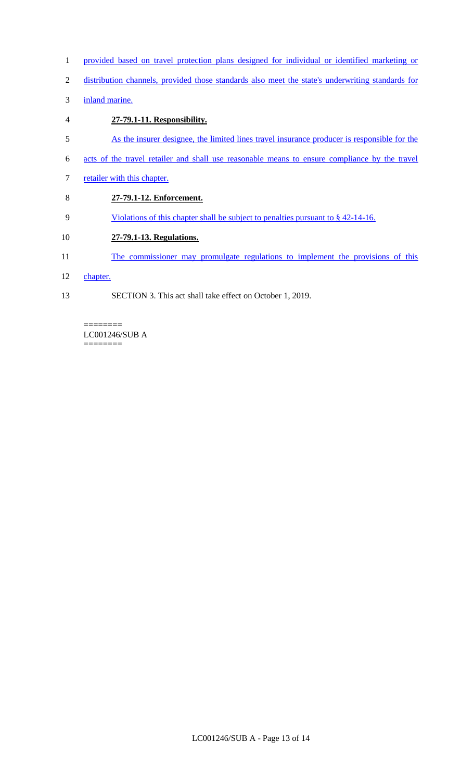- 1 provided based on travel protection plans designed for individual or identified marketing or
- 2 distribution channels, provided those standards also meet the state's underwriting standards for
- 3 inland marine.
- 4 **27-79.1-11. Responsibility.**  5 As the insurer designee, the limited lines travel insurance producer is responsible for the 6 acts of the travel retailer and shall use reasonable means to ensure compliance by the travel 7 retailer with this chapter. 8 **27-79.1-12. Enforcement.**  9 Violations of this chapter shall be subject to penalties pursuant to § 42-14-16. 10 **27-79.1-13. Regulations.**
- 11 The commissioner may promulgate regulations to implement the provisions of this
- 12 chapter.
- 13 SECTION 3. This act shall take effect on October 1, 2019.

======== LC001246/SUB A  $=$